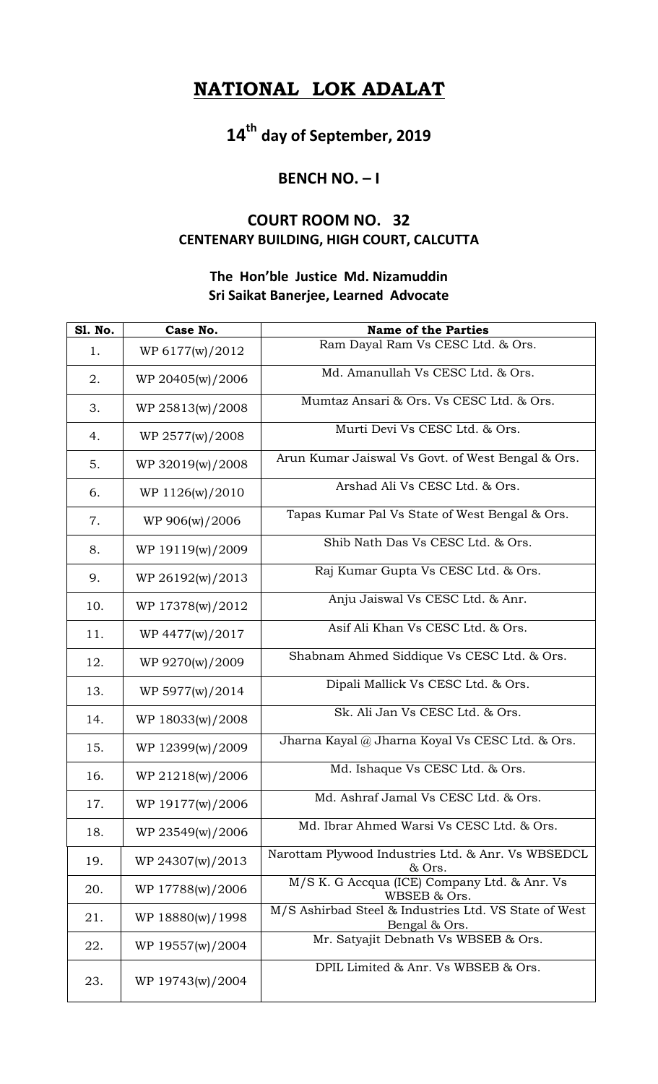## **NATIONAL LOK ADALAT**

**14th day of September, 2019**

## **BENCH NO. – I**

## **COURT ROOM NO. 32 CENTENARY BUILDING, HIGH COURT, CALCUTTA**

## **The Hon'ble Justice Md. Nizamuddin Sri Saikat Banerjee, Learned Advocate**

| <b>S1. No.</b> | Case No.         | <b>Name of the Parties</b>                                             |
|----------------|------------------|------------------------------------------------------------------------|
| 1.             | WP 6177(w)/2012  | Ram Dayal Ram Vs CESC Ltd. & Ors.                                      |
| 2.             | WP 20405(w)/2006 | Md. Amanullah Vs CESC Ltd. & Ors.                                      |
| 3.             | WP 25813(w)/2008 | Mumtaz Ansari & Ors. Vs CESC Ltd. & Ors.                               |
| 4.             | WP 2577(w)/2008  | Murti Devi Vs CESC Ltd. & Ors.                                         |
| 5.             | WP 32019(w)/2008 | Arun Kumar Jaiswal Vs Govt. of West Bengal & Ors.                      |
| 6.             | WP 1126(w)/2010  | Arshad Ali Vs CESC Ltd. & Ors.                                         |
| 7.             | WP 906(w)/2006   | Tapas Kumar Pal Vs State of West Bengal & Ors.                         |
| 8.             | WP 19119(w)/2009 | Shib Nath Das Vs CESC Ltd. & Ors.                                      |
| 9.             | WP 26192(w)/2013 | Raj Kumar Gupta Vs CESC Ltd. & Ors.                                    |
| 10.            | WP 17378(w)/2012 | Anju Jaiswal Vs CESC Ltd. & Anr.                                       |
| 11.            | WP 4477(w)/2017  | Asif Ali Khan Vs CESC Ltd. & Ors.                                      |
| 12.            | WP 9270(w)/2009  | Shabnam Ahmed Siddique Vs CESC Ltd. & Ors.                             |
| 13.            | WP 5977(w)/2014  | Dipali Mallick Vs CESC Ltd. & Ors.                                     |
| 14.            | WP 18033(w)/2008 | Sk. Ali Jan Vs CESC Ltd. & Ors.                                        |
| 15.            | WP 12399(w)/2009 | Jharna Kayal @ Jharna Koyal Vs CESC Ltd. & Ors.                        |
| 16.            | WP 21218(w)/2006 | Md. Ishaque Vs CESC Ltd. & Ors.                                        |
| 17.            | WP 19177(w)/2006 | Md. Ashraf Jamal Vs CESC Ltd. & Ors.                                   |
| 18.            | WP 23549(w)/2006 | Md. Ibrar Ahmed Warsi Vs CESC Ltd. & Ors.                              |
| 19.            | WP 24307(w)/2013 | Narottam Plywood Industries Ltd. & Anr. Vs WBSEDCL<br>& Ors.           |
| 20.            | WP 17788(w)/2006 | M/S K. G Accqua (ICE) Company Ltd. & Anr. Vs<br>WBSEB & Ors.           |
| 21.            | WP 18880(w)/1998 | M/S Ashirbad Steel & Industries Ltd. VS State of West<br>Bengal & Ors. |
| 22.            | WP 19557(w)/2004 | Mr. Satyajit Debnath Vs WBSEB & Ors.                                   |
| 23.            | WP 19743(w)/2004 | DPIL Limited & Anr. Vs WBSEB & Ors.                                    |